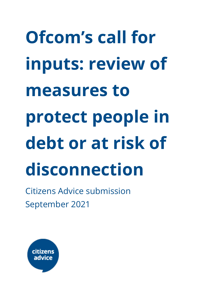# **Ofcom's call for inputs: review of measures to protect people in debt or at risk of disconnection**

Citizens Advice submission September 2021

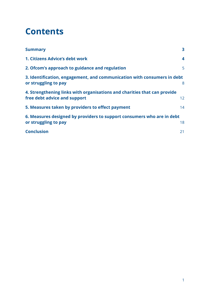#### **Contents**

<span id="page-1-0"></span>

| <b>Summary</b>                                                                                           | 3                       |
|----------------------------------------------------------------------------------------------------------|-------------------------|
| 1. Citizens Advice's debt work                                                                           | $\overline{\mathbf{4}}$ |
| 2. Ofcom's approach to guidance and regulation                                                           | 5                       |
| 3. Identification, engagement, and communication with consumers in debt<br>or struggling to pay          | 8                       |
| 4. Strengthening links with organisations and charities that can provide<br>free debt advice and support | 12                      |
| 5. Measures taken by providers to effect payment                                                         | 14                      |
| 6. Measures designed by providers to support consumers who are in debt<br>or struggling to pay           | 18                      |
| <b>Conclusion</b>                                                                                        | 21                      |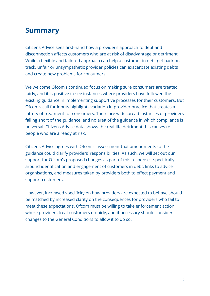#### **Summary**

Citizens Advice sees first-hand how a provider's approach to debt and disconnection affects customers who are at risk of disadvantage or detriment. While a flexible and tailored approach can help a customer in debt get back on track, unfair or unsympathetic provider policies can exacerbate existing debts and create new problems for consumers.

We welcome Ofcom's continued focus on making sure consumers are treated fairly, and it is positive to see instances where providers have followed the existing guidance in implementing supportive processes for their customers. But Ofcom's call for inputs highlights variation in provider practice that creates a lottery of treatment for consumers. There are widespread instances of providers falling short of the guidance, and no area of the guidance in which compliance is universal. Citizens Advice data shows the real-life detriment this causes to people who are already at risk.

Citizens Advice agrees with Ofcom's assessment that amendments to the guidance could clarify providers' responsibilities. As such, we will set out our support for Ofcom's proposed changes as part of this response - specifically around identification and engagement of customers in debt, links to advice organisations, and measures taken by providers both to effect payment and support customers.

However, increased specificity on how providers are expected to behave should be matched by increased clarity on the consequences for providers who fail to meet these expectations. Ofcom must be willing to take enforcement action where providers treat customers unfairly, and if necessary should consider changes to the General Conditions to allow it to do so.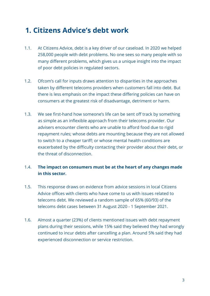#### <span id="page-3-0"></span>**1. Citizens Advice's debt work**

- 1.1. At Citizens Advice, debt is a key driver of our caseload. In 2020 we helped 258,000 people with debt problems. No one sees so many people with so many different problems, which gives us a unique insight into the impact of poor debt policies in regulated sectors.
- 1.2. Ofcom's call for inputs draws attention to disparities in the approaches taken by different telecoms providers when customers fall into debt. But there is less emphasis on the impact these differing policies can have on consumers at the greatest risk of disadvantage, detriment or harm.
- 1.3. We see first-hand how someone's life can be sent off track by something as simple as an inflexible approach from their telecoms provider. Our advisers encounter clients who are unable to afford food due to rigid repayment rules; whose debts are mounting because they are not allowed to switch to a cheaper tariff; or whose mental health conditions are exacerbated by the difficulty contacting their provider about their debt, or the threat of disconnection.

#### 1.4. **The impact on consumers must be at the heart of any changes made in this sector.**

- 1.5. This response draws on evidence from advice sessions in local Citizens Advice offices with clients who have come to us with issues related to telecoms debt. We reviewed a random sample of 65% (60/93) of the telecoms debt cases between 31 August 2020 - 1 September 2021.
- 1.6. Almost a quarter (23%) of clients mentioned issues with debt repayment plans during their sessions, while 15% said they believed they had wrongly continued to incur debts after cancelling a plan. Around 5% said they had experienced disconnection or service restriction.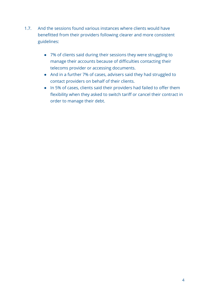- 1.7. And the sessions found various instances where clients would have benefitted from their providers following clearer and more consistent guidelines:
	- 7% of clients said during their sessions they were struggling to manage their accounts because of difficulties contacting their telecoms provider or accessing documents.
	- And in a further 7% of cases, advisers said they had struggled to contact providers on behalf of their clients.
	- In 5% of cases, clients said their providers had failed to offer them flexibility when they asked to switch tariff or cancel their contract in order to manage their debt.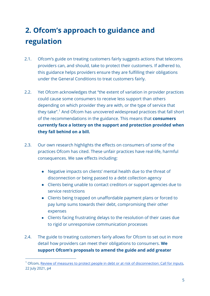#### <span id="page-5-0"></span>**2. Ofcom's approach to guidance and regulation**

- 2.1. Ofcom's guide on treating customers fairly suggests actions that telecoms providers can, and should, take to protect their customers. If adhered to, this guidance helps providers ensure they are fulfilling their obligations under the General Conditions to treat customers fairly.
- 2.2. Yet Ofcom acknowledges that "the extent of variation in provider practices could cause some consumers to receive less support than others depending on which provider they are with, or the type of service that they take".<sup>[1](#page-5-1)</sup> And Ofcom has uncovered widespread practices that fall short of the recommendations in the guidance. This means that **consumers currently face a lottery on the support and protection provided when they fall behind on a bill.**
- 2.3. Our own research highlights the effects on consumers of some of the practices Ofcom has cited. These unfair practices have real-life, harmful consequences. We saw effects including:
	- Negative impacts on clients' mental health due to the threat of disconnection or being passed to a debt collection agency
	- Clients being unable to contact creditors or support agencies due to service restrictions
	- Clients being trapped on unaffordable payment plans or forced to pay lump sums towards their debt, compromising their other expenses
	- Clients facing frustrating delays to the resolution of their cases due to rigid or unresponsive communication processes
- 2.4. The guide to treating customers fairly allows for Ofcom to set out in more detail how providers can meet their obligations to consumers. **We support Ofcom's proposals to amend the guide and add greater**

<span id="page-5-1"></span><sup>&</sup>lt;sup>1</sup> Ofcom, [Review of measures to protect people in debt or at risk of disconnection: Call for inputs,](https://www.ofcom.org.uk/__data/assets/pdf_file/0012/222321/review-of-measures-to-protect-people-debt-or-risk-of-disconnection.pdf) 22 July 2021, p4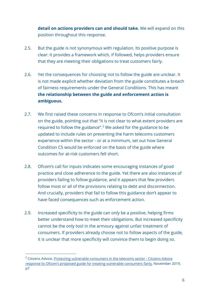**detail on actions providers can and should take.** We will expand on this position throughout this response.

- 2.5. But the guide is not synonymous with regulation. Its positive purpose is clear: it provides a framework which, if followed, helps providers ensure that they are meeting their obligations to treat customers fairly.
- 2.6. Yet the consequences for choosing not to follow the guide are unclear. It is not made explicit whether deviation from the guide constitutes a breach of fairness requirements under the General Conditions. This has meant **the relationship between the guide and enforcement action is ambiguous.**
- 2.7. We first raised these concerns in response to Ofcom's initial consultation on the guide, pointing out that "it is not clear to what extent providers are required to follow the guidance".<sup>[2](#page-6-0)</sup> We asked for the guidance to be updated to include rules on preventing the harm telecoms customers experience within the sector - or at a minimum, set out how General Condition C5 would be enforced on the basis of the guide where outcomes for at-risk customers fell short.
- 2.8. Ofcom's call for inputs indicates some encouraging instances of good practice and close adherence to the guide. Yet there are also instances of providers failing to follow guidance, and it appears that few providers follow most or all of the provisions relating to debt and disconnection. And crucially, providers that fail to follow this guidance don't appear to have faced consequences such as enforcement action.
- 2.9. Increased specificity to the guide can only be a positive, helping firms better understand how to meet their obligations. But increased specificity cannot be the only tool in the armoury against unfair treatment of consumers. If providers already choose not to follow aspects of the guide, it is unclear that more specificity will convince them to begin doing so.

<span id="page-6-0"></span> $2$  Citizens Advice[, Protecting vulnerable consumers in the telecoms sector -](https://www.citizensadvice.org.uk/Global/CitizensAdvice/Consumer%20publications/CitA%20response%20to%20Ofcom%e2%80%99s%20proposed%20guide%20for%20treating%20vulnerable%20consumers%20fairly.pdf) Citizens Advice [response to Ofcom's proposed guide for treating vulnerable consumers fairly,](https://www.citizensadvice.org.uk/Global/CitizensAdvice/Consumer%20publications/CitA%20response%20to%20Ofcom%e2%80%99s%20proposed%20guide%20for%20treating%20vulnerable%20consumers%20fairly.pdf) November 2019, p7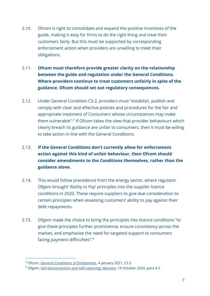- 2.10. Ofcom is right to consolidate and expand the positive incentives of the guide, making it easy for firms to do the right thing and treat their customers fairly. But this must be supported by corresponding enforcement action when providers are unwilling to meet their obligations.
- 2.11. **Ofcom must therefore provide greater clarity on the relationship between the guide and regulation under the General Conditions. Where providers continue to treat customers unfairly in spite of the guidance, Ofcom should set out regulatory consequences.**
- 2.12. Under General Condition C5.2, providers must "establish, publish and comply with clear and effective policies and procedures for the fair and appropriate treatment of Consumers whose circumstances may make them vulnerable".<sup>[3](#page-7-0)</sup> If Ofcom takes the view that provider behaviours which clearly breach its guidance are unfair to consumers, then it must be willing to take action in line with the General Conditions.
- 2.13. **If the General Conditions don't currently allow for enforcement action against this kind of unfair behaviour, then Ofcom should consider amendments to the Conditions themselves, rather than the guidance alone.**
- 2.14. This would follow precedence from the energy sector, where regulator Ofgem brought 'Ability to Pay' principles into the supplier licence conditions in 2020. These require suppliers to give due consideration to certain principles when assessing customers' ability to pay against their debt repayments.
- 2.15. Ofgem made the choice to bring the principles into licence conditions "to give these principles further prominence, ensure consistency across the market, and emphasise the need for targeted support to consumers facing payment difficulties".[4](#page-7-1)

<span id="page-7-0"></span><sup>&</sup>lt;sup>3</sup> Ofcom, [General Conditions of Entitlement,](https://www.ofcom.org.uk/__data/assets/pdf_file/0021/112692/Consolidated-General-Conditions.pdf) 4 January 2021, C5.2

<span id="page-7-1"></span><sup>4</sup> Ofgem, [Self-disconnection and self-rationing: decision,](https://www.ofgem.gov.uk/publications/self-disconnection-and-self-rationing-decision) 19 October 2020, para 4.5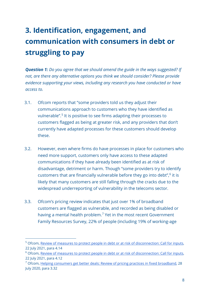## <span id="page-8-0"></span>**3. Identification, engagement, and communication with consumers in debt or struggling to pay**

*Question 1: Do you agree that we should amend the guide in the ways suggested? If not, are there any alternative options you think we should consider? Please provide evidence supporting your views, including any research you have conducted or have access to.*

- 3.1. Ofcom reports that "some providers told us they adjust their communications approach to customers who they have identified as vulnerable".<sup>[5](#page-8-1)</sup> It is positive to see firms adapting their processes to customers flagged as being at greater risk, and any providers that don't currently have adapted processes for these customers should develop these.
- 3.2. However, even where firms do have processes in place for customers who need more support, customers only have access to these adapted communications if they have already been identified as at risk of disadvantage, detriment or harm. Though "some providers try to identify customers that are financially vulnerable before they go into debt", $6$  it is likely that many customers are still falling through the cracks due to the widespread underreporting of vulnerability in the telecoms sector.
- 3.3. Ofcom's pricing review indicates that just over 1% of broadband customers are flagged as vulnerable, and recorded as being disabled or having a mental health problem.<sup>[7](#page-8-3)</sup> Yet in the most recent Government Family Resources Survey, 22% of people (including 19% of working-age

<span id="page-8-1"></span><sup>&</sup>lt;sup>5</sup> Ofcom, [Review of measures to protect people in debt or at risk of disconnection: Call for inputs,](https://www.ofcom.org.uk/__data/assets/pdf_file/0012/222321/review-of-measures-to-protect-people-debt-or-risk-of-disconnection.pdf) 22 July 2021, para 4.14

<span id="page-8-2"></span><sup>&</sup>lt;sup>6</sup> Ofcom, [Review of measures to protect people in debt or at risk of disconnection: Call for inputs,](https://www.ofcom.org.uk/__data/assets/pdf_file/0012/222321/review-of-measures-to-protect-people-debt-or-risk-of-disconnection.pdf) 22 July 2021, para 4.12

<span id="page-8-3"></span><sup>7</sup> Ofcom, [Helping consumers get better deals: Review of pricing practices in fixed broadband,](https://www.ofcom.org.uk/__data/assets/pdf_file/0031/199075/bb-pricing-update-july-20.pdf) 28 July 2020, para 3.32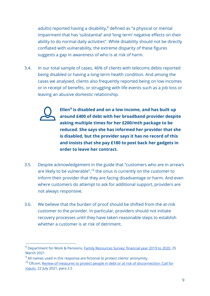adults) reported having a disability, $8$  defined as "a physical or mental impairment that has 'substantial' and 'long term' negative effects on their ability to do normal daily activities". While disability should not be directly conflated with vulnerability, the extreme disparity of these figures suggests a gap in awareness of who is at risk of harm.

3.4. In our total sample of cases, 46% of clients with telecoms debts reported being disabled or having a long-term health condition. And among the cases we analysed, clients also frequently reported being on low incomes or in receipt of benefits, or struggling with life events such as a job loss or leaving an abusive domestic relationship.



**Ellen[9](#page-9-1) is disabled and on a low income, and has built up around £400 of debt with her broadband provider despite asking multiple times for her £200/mth package to be reduced. She says she has informed her provider that she is disabled, but the provider says it has no record of this and insists that she pay £180 to post back her gadgets in order to leave her contract.**

- 3.5. Despite acknowledgement in the guide that "customers who are in arrears are likely to be vulnerable", $10$  the onus is currently on the customer to inform their provider that they are facing disadvantage or harm. And even where customers do attempt to ask for additional support, providers are not always responsive.
- 3.6. We believe that the burden of proof should be shifted from the at-risk customer to the provider. In particular, providers should not initiate recovery processes until they have taken reasonable steps to establish whether a customer is at risk of detriment.

<span id="page-9-0"></span><sup>8</sup> Department for Work & Pensions, [Family Resources Survey: financial year 2019](https://www.gov.uk/government/statistics/family-resources-survey-financial-year-2019-to-2020/family-resources-survey-financial-year-2019-to-2020#disability-1) to 2020, 25 March 2021

<span id="page-9-1"></span> $9$  All names used in this response are fictional to protect clients' anonymity.

<span id="page-9-2"></span><sup>&</sup>lt;sup>10</sup> Ofcom, Review of measures to protect people in debt or at risk of disconnection: Call for [inputs,](https://www.ofcom.org.uk/__data/assets/pdf_file/0012/222321/review-of-measures-to-protect-people-debt-or-risk-of-disconnection.pdf) 22 July 2021, para 2.5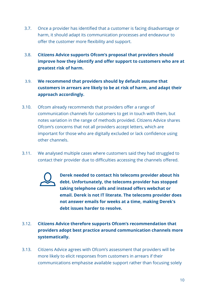- 3.7. Once a provider has identified that a customer is facing disadvantage or harm, it should adapt its communication processes and endeavour to offer the customer more flexibility and support.
- 3.8. **Citizens Advice supports Ofcom's proposal that providers should improve how they identify and offer support to customers who are at greatest risk of harm.**
- 3.9. **We recommend that providers should by default assume that customers in arrears are likely to be at risk of harm, and adapt their approach accordingly.**
- 3.10. Ofcom already recommends that providers offer a range of communication channels for customers to get in touch with them, but notes variation in the range of methods provided. Citizens Advice shares Ofcom's concerns that not all providers accept letters, which are important for those who are digitally excluded or lack confidence using other channels.
- 3.11. We analysed multiple cases where customers said they had struggled to contact their provider due to difficulties accessing the channels offered.



**Derek needed to contact his telecoms provider about his debt. Unfortunately, the telecoms provider has stopped taking telephone calls and instead offers webchat or email. Derek is not IT literate. The telecoms provider does not answer emails for weeks at a time, making Derek's debt issues harder to resolve.**

- 3.12. **Citizens Advice therefore supports Ofcom's recommendation that providers adopt best practice around communication channels more systematically.**
- 3.13. Citizens Advice agrees with Ofcom's assessment that providers will be more likely to elicit responses from customers in arrears if their communications emphasise available support rather than focusing solely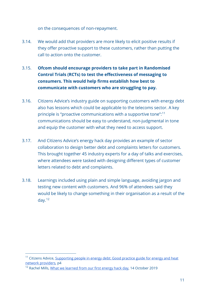on the consequences of non-repayment.

- 3.14. We would add that providers are more likely to elicit positive results if they offer proactive support to these customers, rather than putting the call to action onto the customer.
- 3.15. **Ofcom should encourage providers to take part in Randomised Control Trials (RCTs) to test the effectiveness of messaging to consumers. This would help firms establish how best to communicate with customers who are struggling to pay.**
- 3.16. Citizens Advice's industry guide on supporting customers with energy debt also has lessons which could be applicable to the telecoms sector. A key principle is "proactive communications with a supportive tone":[11](#page-11-0)  communications should be easy to understand, non-judgmental in tone and equip the customer with what they need to access support.
- 3.17. And Citizens Advice's energy hack day provides an example of sector collaboration to design better debt and complaints letters for customers. This brought together 45 industry experts for a day of talks and exercises, where attendees were tasked with designing different types of customer letters related to debt and complaints.
- 3.18. Learnings included using plain and simple language, avoiding jargon and testing new content with customers. And 96% of attendees said they would be likely to change something in their organisation as a result of the day.[12](#page-11-1)

<span id="page-11-0"></span><sup>&</sup>lt;sup>11</sup> Citizens Advice[, Supporting people in energy](https://www.citizensadvice.org.uk/Global/CitizensAdvice/Energy/Good%20practice%20guide_%20Supporting%20people%20in%20energy%20debt.pdf) debt: Good practice guide for energy and heat [network providers,](https://www.citizensadvice.org.uk/Global/CitizensAdvice/Energy/Good%20practice%20guide_%20Supporting%20people%20in%20energy%20debt.pdf) p4

<span id="page-11-1"></span><sup>&</sup>lt;sup>12</sup> Rachel Mills, [What we learned from our first energy hack day,](https://wearecitizensadvice.org.uk/what-we-learned-from-our-first-energy-hack-day-2c177be4d8e7) 14 October 2019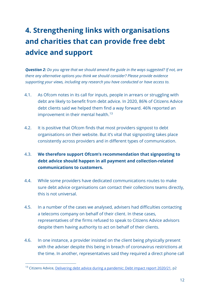## <span id="page-12-0"></span>**4. Strengthening links with organisations and charities that can provide free debt advice and support**

*Question 2: Do you agree that we should amend the guide in the ways suggested? If not, are there any alternative options you think we should consider? Please provide evidence supporting your views, including any research you have conducted or have access to.* 

- 4.1. As Ofcom notes in its call for inputs, people in arrears or struggling with debt are likely to benefit from debt advice. In 2020, 86% of Citizens Advice debt clients said we helped them find a way forward. 46% reported an improvement in their mental health.<sup>[13](#page-12-1)</sup>
- 4.2. It is positive that Ofcom finds that most providers signpost to debt organisations on their website. But it's vital that signposting takes place consistently across providers and in different types of communication.
- 4.3. **We therefore support Ofcom's recommendation that signposting to debt advice should happen in all payment and collection-related communications to customers.**
- 4.4. While some providers have dedicated communications routes to make sure debt advice organisations can contact their collections teams directly, this is not universal.
- 4.5. In a number of the cases we analysed, advisers had difficulties contacting a telecoms company on behalf of their client. In these cases, representatives of the firms refused to speak to Citizens Advice advisors despite them having authority to act on behalf of their clients.
- 4.6. In one instance, a provider insisted on the client being physically present with the adviser despite this being in breach of coronavirus restrictions at the time. In another, representatives said they required a direct phone call

<span id="page-12-1"></span><sup>&</sup>lt;sup>13</sup> Citizens Advice[, Delivering debt advice during a pandemic: Debt impact report 2020/21,](https://www.citizensadvice.org.uk/Documents/DebtImpactReport_2020-21.pdf) p2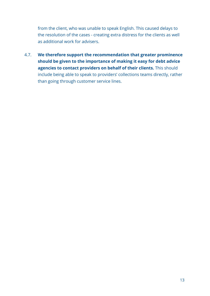from the client, who was unable to speak English. This caused delays to the resolution of the cases - creating extra distress for the clients as well as additional work for advisers.

4.7. **We therefore support the recommendation that greater prominence should be given to the importance of making it easy for debt advice agencies to contact providers on behalf of their clients.** This should include being able to speak to providers' collections teams directly, rather than going through customer service lines.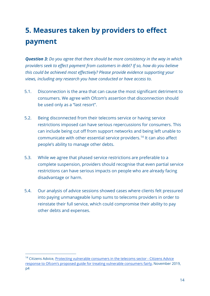#### <span id="page-14-0"></span>**5. Measures taken by providers to effect payment**

*Question 3: Do you agree that there should be more consistency in the way in which providers seek to effect payment from customers in debt? If so, how do you believe this could be achieved most effectively? Please provide evidence supporting your views, including any research you have conducted or have access to.* 

- 5.1. Disconnection is the area that can cause the most significant detriment to consumers. We agree with Ofcom's assertion that disconnection should be used only as a "last resort".
- 5.2. Being disconnected from their telecoms service or having service restrictions imposed can have serious repercussions for consumers. This can include being cut off from support networks and being left unable to communicate with other essential service providers.[14](#page-14-1) It can also affect people's ability to manage other debts.
- 5.3. While we agree that phased service restrictions are preferable to a complete suspension, providers should recognise that even partial service restrictions can have serious impacts on people who are already facing disadvantage or harm.
- 5.4. Our analysis of advice sessions showed cases where clients felt pressured into paying unmanageable lump sums to telecoms providers in order to reinstate their full service, which could compromise their ability to pay other debts and expenses.

<span id="page-14-1"></span><sup>&</sup>lt;sup>14</sup> Citizens Advice[, Protecting vulnerable consumers in the telecoms sector -](https://www.ofcom.org.uk/__data/assets/pdf_file/0039/186699/citizens-advice.pdf) Citizens Advice [response to Ofcom's proposed guide for treating vulnerable consumers fairly,](https://www.ofcom.org.uk/__data/assets/pdf_file/0039/186699/citizens-advice.pdf) November 2019, p4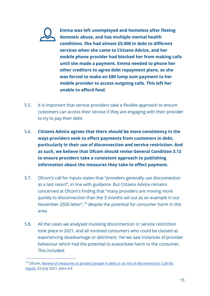

**Emma was left unemployed and homeless after fleeing domestic abuse, and has multiple mental health conditions. She had almost £5,000 in debt to different services when she came to Citizens Advice, and her mobile phone provider had blocked her from making calls until she made a payment. Emma needed to phone her other creditors to agree debt repayment plans, so she was forced to make an £80 lump sum payment to her mobile provider to access outgoing calls. This left her unable to afford food.**

- 5.5. It is important that service providers take a flexible approach to ensure customers can access their service if they are engaging with their provider to try to pay their debt.
- 5.6. **Citizens Advice agrees that there should be more consistency in the ways providers seek to effect payments from customers in debt, particularly in their use of disconnection and service restriction. And as such, we believe that Ofcom should revise General Condition 3.12 to ensure providers take a consistent approach to publishing information about the measures they take to effect payment.**
- 5.7. Ofcom's call for inputs states that "providers generally use disconnection as a last resort", in line with guidance. But Citizens Advice remains concerned at Ofcom's finding that "many providers are moving more quickly to disconnection than the 3 months set out as an example in our November 2020 letter",[15](#page-15-0) despite the potential for consumer harm in this area.
- 5.8. All the cases we analysed involving disconnection or service restriction took place in 2021, and all involved consumers who could be classed as experiencing disadvantage or detriment. Yet we saw instances of provider behaviour which had the potential to exacerbate harm to the consumer. This included:

<span id="page-15-0"></span><sup>&</sup>lt;sup>15</sup> Ofcom, Review of measures to protect people in debt or at risk of disconnection: Call for [inputs,](https://www.ofcom.org.uk/__data/assets/pdf_file/0012/222321/review-of-measures-to-protect-people-debt-or-risk-of-disconnection.pdf) 22 July 2021, para 4.4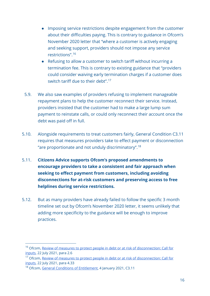- Imposing service restrictions despite engagement from the customer about their difficulties paying. This is contrary to guidance in Ofcom's November 2020 letter that "where a customer is actively engaging and seeking support, providers should not impose any service restrictions".[16](#page-16-0)
- Refusing to allow a customer to switch tariff without incurring a termination fee. This is contrary to existing guidance that "providers could consider waiving early termination charges if a customer does switch tariff due to their debt".<sup>[17](#page-16-1)</sup>
- 5.9. We also saw examples of providers refusing to implement manageable repayment plans to help the customer reconnect their service. Instead, providers insisted that the customer had to make a large lump sum payment to reinstate calls, or could only reconnect their account once the debt was paid off in full.
- 5.10. Alongside requirements to treat customers fairly, General Condition C3.11 requires that measures providers take to effect payment or disconnection "are proportionate and not unduly discriminatory".[18](#page-16-2)
- 5.11. **Citizens Advice supports Ofcom's proposed amendments to encourage providers to take a consistent and fair approach when seeking to effect payment from customers, including avoiding disconnections for at-risk customers and preserving access to free helplines during service restrictions.**
- 5.12. But as many providers have already failed to follow the specific 3 month timeline set out by Ofcom's November 2020 letter, it seems unlikely that adding more specificity to the guidance will be enough to improve practices.

<span id="page-16-0"></span><sup>&</sup>lt;sup>16</sup> Ofcom, Review of measures to protect people in debt or at risk of disconnection: Call for [inputs,](https://www.ofcom.org.uk/__data/assets/pdf_file/0012/222321/review-of-measures-to-protect-people-debt-or-risk-of-disconnection.pdf) 22 July 2021, para 2.6

<span id="page-16-1"></span><sup>&</sup>lt;sup>17</sup> Ofcom, Review of measures to protect people in debt or at risk of disconnection: Call for [inputs,](https://www.ofcom.org.uk/__data/assets/pdf_file/0012/222321/review-of-measures-to-protect-people-debt-or-risk-of-disconnection.pdf) 22 July 2021, para 4.33

<span id="page-16-2"></span><sup>&</sup>lt;sup>18</sup> Ofcom, [General Conditions of Entitlement,](https://www.ofcom.org.uk/__data/assets/pdf_file/0021/112692/Consolidated-General-Conditions.pdf) 4 January 2021, C3.11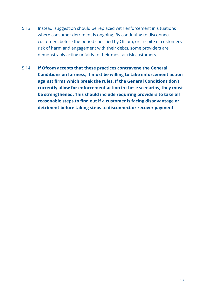- 5.13. Instead, suggestion should be replaced with enforcement in situations where consumer detriment is ongoing. By continuing to disconnect customers before the period specified by Ofcom, or in spite of customers' risk of harm and engagement with their debts, some providers are demonstrably acting unfairly to their most at-risk customers.
- 5.14. **If Ofcom accepts that these practices contravene the General Conditions on fairness, it must be willing to take enforcement action against firms which break the rules. If the General Conditions don't currently allow for enforcement action in these scenarios, they must be strengthened. This should include requiring providers to take all reasonable steps to find out if a customer is facing disadvantage or detriment before taking steps to disconnect or recover payment.**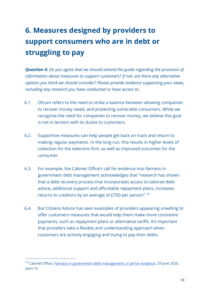## <span id="page-18-0"></span>**6. Measures designed by providers to support consumers who are in debt or struggling to pay**

*Question 4: Do you agree that we should amend the guide regarding the provision of information about measures to support customers? If not, are there any alternative options you think we should consider? Please provide evidence supporting your views, including any research you have conducted or have access to.*

- 6.1. Ofcom refers to the need to strike a balance between allowing companies to recover money owed, and protecting vulnerable consumers. While we recognise the need for companies to recover money, we believe this goal is not in tension with its duties to customers.
- 6.2. Supportive measures can help people get back on track and return to making regular payments. In the long run, this results in higher levels of collection for the telecoms firm, as well as improved outcomes for the consumer.
- 6.3. For example, the Cabinet Office's call for evidence into fairness in government debt management acknowledges that "research has shown that a debt recovery process that incorporates access to tailored debt advice, additional support and affordable repayment plans, increases returns to creditors by an average of £750 per person".[19](#page-18-1)
- 6.4. But Citizens Advice has seen examples of providers appearing unwilling to offer customers measures that would help them make more consistent payments, such as repayment plans or alternative tariffs. It's important that providers take a flexible and understanding approach when customers are actively engaging and trying to pay their debts.

<span id="page-18-1"></span><sup>&</sup>lt;sup>19</sup> Cabinet Office[, Fairness in government debt management: a call for evidence,](https://www.gov.uk/government/consultations/fairness-in-government-debt-management-a-call-for-evidence) 29 June 2020, para 16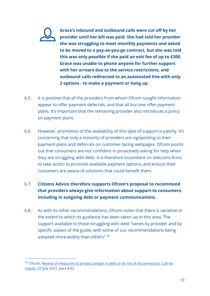**Grace's inbound and outbound calls were cut off by her provider until her bill was paid. She had told her provider she was struggling to meet monthly payments and asked to be moved to a pay-as-you-go contract, but she was told this was only possible if she paid an exit fee of up to £300. Grace was unable to phone anyone for further support with her arrears due to the service restrictions, and outbound calls redirected to an automated line with only 2 options - to make a payment or hang up.** 

- 6.5. It is positive that all the providers from whom Ofcom sought information appear to offer payment deferrals, and that all but one offer payment plans. It's important that the remaining provider also introduces a policy on payment plans.
- 6.6. However, promotion of the availability of this type of support is patchy. It's concerning that only a minority of providers are signposting to their payment plans and deferrals on customer-facing webpages. Ofcom points out that consumers are not confident in proactively asking for help when they are struggling with debt. It is therefore incumbent on telecoms firms to take action to promote available payment options, and ensure their customers are aware of solutions that could benefit them.

#### 6.7. **Citizens Advice therefore supports Ofcom's proposal to recommend that providers always give information about support to consumers, including in outgoing debt or payment communications.**

6.8. As with its other recommendations, Ofcom notes that there is variation in the extent to which its guidance has been taken up in this area. The support available to those struggling with debt "varies by provider and by specific aspect of the guide, with some of our recommendations being adopted more widely than others".<sup>[20](#page-19-0)</sup>

<span id="page-19-0"></span><sup>&</sup>lt;sup>20</sup> Ofcom, Review of measures to protect people in debt or at risk of disconnection: Call for [inputs,](https://www.ofcom.org.uk/__data/assets/pdf_file/0012/222321/review-of-measures-to-protect-people-debt-or-risk-of-disconnection.pdf) 22 July 2021, para 4.62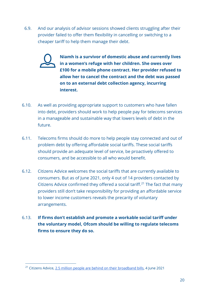6.9. And our analysis of advisor sessions showed clients struggling after their provider failed to offer them flexibility in cancelling or switching to a cheaper tariff to help them manage their debt.

> **Niamh is a survivor of domestic abuse and currently lives in a women's refuge with her children. She owes over £100 for a mobile phone contract. Her provider refused to allow her to cancel the contract and the debt was passed on to an external debt collection agency, incurring interest.**

- 6.10. As well as providing appropriate support to customers who have fallen into debt, providers should work to help people pay for telecoms services in a manageable and sustainable way that lowers levels of debt in the future.
- 6.11. Telecoms firms should do more to help people stay connected and out of problem debt by offering affordable social tariffs. These social tariffs should provide an adequate level of service, be proactively offered to consumers, and be accessible to all who would benefit.
- 6.12. Citizens Advice welcomes the social tariffs that are currently available to consumers. But as of June 2021, only 4 out of 14 providers contacted by Citizens Advice confirmed they offered a social tariff.<sup>[21](#page-20-0)</sup> The fact that many providers still don't take responsibility for providing an affordable service to lower income customers reveals the precarity of voluntary arrangements.
- 6.13. **If firms don't establish and promote a workable social tariff under the voluntary model, Ofcom should be willing to regulate telecoms firms to ensure they do so.**

<span id="page-20-0"></span><sup>&</sup>lt;sup>21</sup> Citizens Advice,  $2.5$  million people are behind on their broadband bills, 4 June 2021